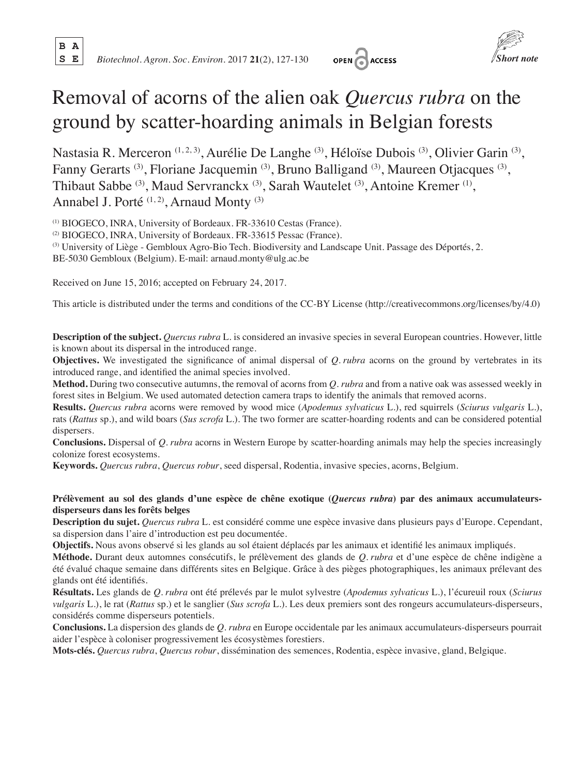**B A**





# Removal of acorns of the alien oak *Quercus rubra* on the ground by scatter-hoarding animals in Belgian forests

Nastasia R. Merceron (1, 2, 3), Aurélie De Langhe (3), Héloïse Dubois (3), Olivier Garin (3), Fanny Gerarts (3), Floriane Jacquemin (3), Bruno Balligand (3), Maureen Otjacques (3), Thibaut Sabbe (3), Maud Servranckx (3), Sarah Wautelet (3), Antoine Kremer (1), Annabel J. Porté<sup>(1,2)</sup>, Arnaud Monty<sup>(3)</sup>

(1) BIOGECO, INRA, University of Bordeaux. FR-33610 Cestas (France).

(2) BIOGECO, INRA, University of Bordeaux. FR-33615 Pessac (France).

(3) University of Liège - Gembloux Agro-Bio Tech. Biodiversity and Landscape Unit. Passage des Déportés, 2.

BE-5030 Gembloux (Belgium). E-mail: arnaud.monty@ulg.ac.be

Received on June 15, 2016; accepted on February 24, 2017.

This article is distributed under the terms and conditions of the CC-BY License (http://creativecommons.org/licenses/by/4.0)

**Description of the subject.** *Quercus rubra* L. is considered an invasive species in several European countries. However, little is known about its dispersal in the introduced range.

**Objectives.** We investigated the significance of animal dispersal of *Q. rubra* acorns on the ground by vertebrates in its introduced range, and identified the animal species involved.

**Method.** During two consecutive autumns, the removal of acorns from *Q. rubra* and from a native oak was assessed weekly in forest sites in Belgium. We used automated detection camera traps to identify the animals that removed acorns.

**Results.** *Quercus rubra* acorns were removed by wood mice (*Apodemus sylvaticus* L.), red squirrels (*Sciurus vulgaris* L.), rats (*Rattus* sp.), and wild boars (*Sus scrofa* L.). The two former are scatter-hoarding rodents and can be considered potential dispersers.

**Conclusions.** Dispersal of *Q. rubra* acorns in Western Europe by scatter-hoarding animals may help the species increasingly colonize forest ecosystems.

**Keywords.** *Quercus rubra*, *Quercus robur*, seed dispersal, Rodentia, invasive species, acorns, Belgium.

## **Prélèvement au sol des glands d'une espèce de chêne exotique (***Quercus rubra***) par des animaux accumulateursdisperseurs dans les forêts belges**

**Description du sujet.** *Quercus rubra* L. est considéré comme une espèce invasive dans plusieurs pays d'Europe. Cependant, sa dispersion dans l'aire d'introduction est peu documentée.

**Objectifs.** Nous avons observé si les glands au sol étaient déplacés par les animaux et identifié les animaux impliqués.

**Méthode.** Durant deux automnes consécutifs, le prélèvement des glands de *Q. rubra* et d'une espèce de chêne indigène a été évalué chaque semaine dans différents sites en Belgique. Grâce à des pièges photographiques, les animaux prélevant des glands ont été identifiés.

**Résultats.** Les glands de *Q. rubra* ont été prélevés par le mulot sylvestre (*Apodemus sylvaticus* L.), l'écureuil roux (*Sciurus vulgaris* L.), le rat (*Rattus* sp.) et le sanglier (*Sus scrofa* L.). Les deux premiers sont des rongeurs accumulateurs-disperseurs, considérés comme disperseurs potentiels.

**Conclusions.** La dispersion des glands de *Q. rubra* en Europe occidentale par les animaux accumulateurs-disperseurs pourrait aider l'espèce à coloniser progressivement les écosystèmes forestiers.

**Mots-clés.** *Quercus rubra*, *Quercus robur*, dissémination des semences, Rodentia, espèce invasive, gland, Belgique.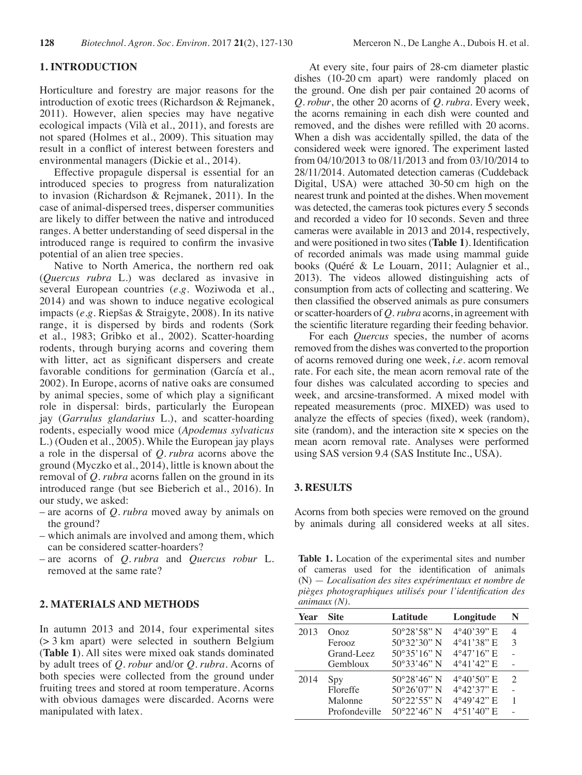#### **1. INTRODUCTION**

Horticulture and forestry are major reasons for the introduction of exotic trees (Richardson & Rejmanek, 2011). However, alien species may have negative ecological impacts (Vilà et al., 2011), and forests are not spared (Holmes et al., 2009). This situation may result in a conflict of interest between foresters and environmental managers (Dickie et al., 2014).

Effective propagule dispersal is essential for an introduced species to progress from naturalization to invasion (Richardson & Rejmanek, 2011). In the case of animal-dispersed trees, disperser communities are likely to differ between the native and introduced ranges. A better understanding of seed dispersal in the introduced range is required to confirm the invasive potential of an alien tree species.

Native to North America, the northern red oak (*Quercus rubra* L.) was declared as invasive in several European countries (*e.g.* Woziwoda et al., 2014) and was shown to induce negative ecological impacts (*e.g.* Riepšas & Straigyte, 2008). In its native range, it is dispersed by birds and rodents (Sork et al., 1983; Gribko et al., 2002). Scatter-hoarding rodents, through burying acorns and covering them with litter, act as significant dispersers and create favorable conditions for germination (García et al., 2002). In Europe, acorns of native oaks are consumed by animal species, some of which play a significant role in dispersal: birds, particularly the European jay (*Garrulus glandarius* L.), and scatter-hoarding rodents, especially wood mice (*Apodemus sylvaticus* L.) (Ouden et al., 2005). While the European jay plays a role in the dispersal of *Q. rubra* acorns above the ground (Myczko et al., 2014), little is known about the removal of *Q. rubra* acorns fallen on the ground in its introduced range (but see Bieberich et al., 2016). In our study, we asked:

- are acorns of *Q. rubra* moved away by animals on the ground?
- which animals are involved and among them, which can be considered scatter-hoarders?
- are acorns of *Q. rubra* and *Quercus robur* L. removed at the same rate?

## **2. MATERIALS AND METHODS**

In autumn 2013 and 2014, four experimental sites (> 3 km apart) were selected in southern Belgium (**Table 1**). All sites were mixed oak stands dominated by adult trees of *Q. robur* and/or *Q. rubra*. Acorns of both species were collected from the ground under fruiting trees and stored at room temperature. Acorns with obvious damages were discarded. Acorns were manipulated with latex.

At every site, four pairs of 28-cm diameter plastic dishes (10-20 cm apart) were randomly placed on the ground. One dish per pair contained 20 acorns of *Q. robur*, the other 20 acorns of *Q. rubra*. Every week, the acorns remaining in each dish were counted and removed, and the dishes were refilled with 20 acorns. When a dish was accidentally spilled, the data of the considered week were ignored. The experiment lasted from 04/10/2013 to 08/11/2013 and from 03/10/2014 to 28/11/2014. Automated detection cameras (Cuddeback Digital, USA) were attached 30-50 cm high on the nearest trunk and pointed at the dishes. When movement was detected, the cameras took pictures every 5 seconds and recorded a video for 10 seconds. Seven and three cameras were available in 2013 and 2014, respectively, and were positioned in two sites (**Table 1**). Identification of recorded animals was made using mammal guide books (Quéré & Le Louarn, 2011; Aulagnier et al., 2013). The videos allowed distinguishing acts of consumption from acts of collecting and scattering. We then classified the observed animals as pure consumers or scatter-hoarders of *Q. rubra* acorns, in agreement with the scientific literature regarding their feeding behavior.

For each *Quercus* species, the number of acorns removed from the dishes was converted to the proportion of acorns removed during one week, *i.e.* acorn removal rate. For each site, the mean acorn removal rate of the four dishes was calculated according to species and week, and arcsine-transformed. A mixed model with repeated measurements (proc. MIXED) was used to analyze the effects of species (fixed), week (random), site (random), and the interaction site  $\times$  species on the mean acorn removal rate. Analyses were performed using SAS version 9.4 (SAS Institute Inc., USA).

#### **3. RESULTS**

Acorns from both species were removed on the ground by animals during all considered weeks at all sites.

**Table 1.** Location of the experimental sites and number of cameras used for the identification of animals (N) — *Localisation des sites expérimentaux et nombre de pièges photographiques utilisés pour l'identification des animaux (N).*

| <b>Year</b> | <b>Site</b>   | Latitude              | Longitude            | N                           |
|-------------|---------------|-----------------------|----------------------|-----------------------------|
| 2013        | Onoz          | $50^{\circ}28'58''$ N | $4^{\circ}40'39''$ E | 4                           |
|             | Ferooz        | $50^{\circ}32'30''$ N | 4°41'38" E           | 3                           |
|             | Grand-Leez    | $50^{\circ}35'16''$ N | $4^{\circ}47'16''$ E |                             |
|             | Gembloux      | 50°33'46" N           | $4^{\circ}41'42''$ E |                             |
| 2014        | Spy           | $50^{\circ}28'46''$ N | $4^{\circ}40'50''$ E | $\mathcal{D}_{\mathcal{L}}$ |
|             | Floreffe      | $50^{\circ}26'07''$ N | $4^{\circ}42'37''$ E |                             |
|             | Malonne       | $50^{\circ}22'55''$ N | $4^{\circ}49'42''$ E | 1                           |
|             | Profondeville | $50^{\circ}22'46''$ N | $4^{\circ}51'40''$ E |                             |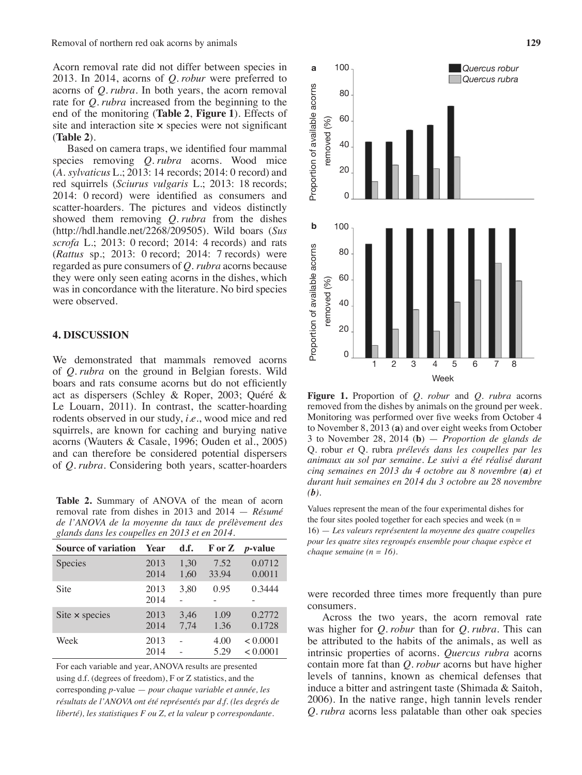Acorn removal rate did not differ between species in 2013. In 2014, acorns of *Q. robur* were preferred to acorns of *Q. rubra*. In both years, the acorn removal rate for *Q. rubra* increased from the beginning to the end of the monitoring (**Table 2**, **Figure 1**). Effects of site and interaction site  $\times$  species were not significant (**Table 2**).

Based on camera traps, we identified four mammal species removing *Q. rubra* acorns. Wood mice (*A. sylvaticus* L.; 2013: 14 records; 2014: 0 record) and red squirrels (*Sciurus vulgaris* L.; 2013: 18 records; 2014: 0 record) were identified as consumers and scatter-hoarders. The pictures and videos distinctly showed them removing *Q. rubra* from the dishes (http://hdl.handle.net/2268/209505). Wild boars (*Sus scrofa* L.; 2013: 0 record; 2014: 4 records) and rats (*Rattus* sp.; 2013: 0 record; 2014: 7 records) were regarded as pure consumers of *Q. rubra* acorns because they were only seen eating acorns in the dishes, which was in concordance with the literature. No bird species were observed.

### **4. DISCUSSION**

We demonstrated that mammals removed acorns of *Q. rubra* on the ground in Belgian forests. Wild boars and rats consume acorns but do not efficiently act as dispersers (Schley & Roper, 2003; Quéré & Le Louarn, 2011). In contrast, the scatter-hoarding rodents observed in our study, *i.e.*, wood mice and red squirrels, are known for caching and burying native acorns (Wauters & Casale, 1996; Ouden et al., 2005) and can therefore be considered potential dispersers of *Q. rubra*. Considering both years, scatter-hoarders

**Table 2.** Summary of ANOVA of the mean of acorn removal rate from dishes in 2013 and 2014 — *Résumé de l'ANOVA de la moyenne du taux de prélèvement des glands dans les coupelles en 2013 et en 2014.*

| <b>Source of variation</b> | Year         | d.f.         |               | $\mathbf{F}$ or $\mathbf{Z}$ <i>p</i> -value |
|----------------------------|--------------|--------------|---------------|----------------------------------------------|
| Species                    | 2013<br>2014 | 1,30<br>1,60 | 7.52<br>33.94 | 0.0712<br>0.0011                             |
| Site                       | 2013<br>2014 | 3.80         | 0.95          | 0.3444                                       |
| Site $\times$ species      | 2013<br>2014 | 3,46<br>7.74 | 1.09<br>1.36  | 0.2772<br>0.1728                             |
| Week                       | 2013<br>2014 |              | 4.00<br>5.29  | < 0.0001<br>< 0.0001                         |

For each variable and year, ANOVA results are presented using d.f. (degrees of freedom), F or Z statistics, and the corresponding *p*-value — *pour chaque variable et année, les résultats de l'ANOVA ont été représentés par d.f. (les degrés de liberté), les statistiques F ou Z, et la valeur* p *correspondante.*



**Figure 1.** Proportion of *Q. robur* and *Q. rubra* acorns removed from the dishes by animals on the ground per week. Monitoring was performed over five weeks from October 4 to November 8, 2013 (**a**) and over eight weeks from October 3 to November 28, 2014 (**b**) — *Proportion de glands de*  Q. robur *et* Q. rubra *prélevés dans les coupelles par les animaux au sol par semaine. Le suivi a été réalisé durant cinq semaines en 2013 du 4 octobre au 8 novembre (a) et durant huit semaines en 2014 du 3 octobre au 28 novembre*   $(b)$ .

Values represent the mean of the four experimental dishes for the four sites pooled together for each species and week ( $n =$ 16) — *Les valeurs représentent la moyenne des quatre coupelles pour les quatre sites regroupés ensemble pour chaque espèce et chaque semaine (n = 16).* 

were recorded three times more frequently than pure consumers.

Across the two years, the acorn removal rate was higher for *Q. robur* than for *Q. rubra*. This can be attributed to the habits of the animals, as well as intrinsic properties of acorns. *Quercus rubra* acorns contain more fat than *Q. robur* acorns but have higher levels of tannins, known as chemical defenses that induce a bitter and astringent taste (Shimada & Saitoh, 2006). In the native range, high tannin levels render *Q. rubra* acorns less palatable than other oak species